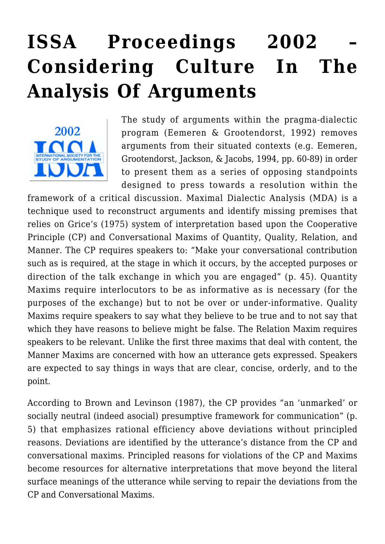# **[ISSA Proceedings 2002 –](https://rozenbergquarterly.com/issa-proceedings-2002-considering-culture-in-the-analysis-of-arguments/) [Considering Culture In The](https://rozenbergquarterly.com/issa-proceedings-2002-considering-culture-in-the-analysis-of-arguments/) [Analysis Of Arguments](https://rozenbergquarterly.com/issa-proceedings-2002-considering-culture-in-the-analysis-of-arguments/)**



The study of arguments within the pragma-dialectic program (Eemeren & Grootendorst, 1992) removes arguments from their situated contexts (e.g. Eemeren, Grootendorst, Jackson, & Jacobs, 1994, pp. 60-89) in order to present them as a series of opposing standpoints designed to press towards a resolution within the

framework of a critical discussion. Maximal Dialectic Analysis (MDA) is a technique used to reconstruct arguments and identify missing premises that relies on Grice's (1975) system of interpretation based upon the Cooperative Principle (CP) and Conversational Maxims of Quantity, Quality, Relation, and Manner. The CP requires speakers to: "Make your conversational contribution such as is required, at the stage in which it occurs, by the accepted purposes or direction of the talk exchange in which you are engaged" (p. 45). Quantity Maxims require interlocutors to be as informative as is necessary (for the purposes of the exchange) but to not be over or under-informative. Quality Maxims require speakers to say what they believe to be true and to not say that which they have reasons to believe might be false. The Relation Maxim requires speakers to be relevant. Unlike the first three maxims that deal with content, the Manner Maxims are concerned with how an utterance gets expressed. Speakers are expected to say things in ways that are clear, concise, orderly, and to the point.

According to Brown and Levinson (1987), the CP provides "an 'unmarked' or socially neutral (indeed asocial) presumptive framework for communication" (p. 5) that emphasizes rational efficiency above deviations without principled reasons. Deviations are identified by the utterance's distance from the CP and conversational maxims. Principled reasons for violations of the CP and Maxims become resources for alternative interpretations that move beyond the literal surface meanings of the utterance while serving to repair the deviations from the CP and Conversational Maxims.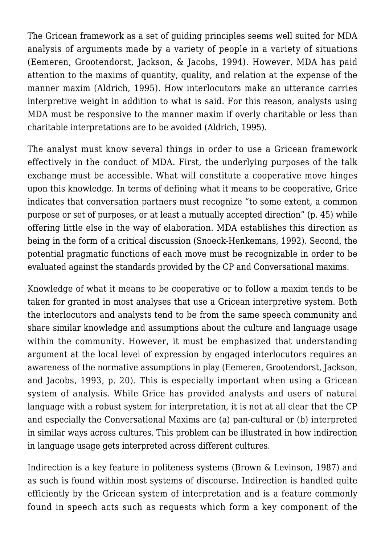The Gricean framework as a set of guiding principles seems well suited for MDA analysis of arguments made by a variety of people in a variety of situations (Eemeren, Grootendorst, Jackson, & Jacobs, 1994). However, MDA has paid attention to the maxims of quantity, quality, and relation at the expense of the manner maxim (Aldrich, 1995). How interlocutors make an utterance carries interpretive weight in addition to what is said. For this reason, analysts using MDA must be responsive to the manner maxim if overly charitable or less than charitable interpretations are to be avoided (Aldrich, 1995).

The analyst must know several things in order to use a Gricean framework effectively in the conduct of MDA. First, the underlying purposes of the talk exchange must be accessible. What will constitute a cooperative move hinges upon this knowledge. In terms of defining what it means to be cooperative, Grice indicates that conversation partners must recognize "to some extent, a common purpose or set of purposes, or at least a mutually accepted direction" (p. 45) while offering little else in the way of elaboration. MDA establishes this direction as being in the form of a critical discussion (Snoeck-Henkemans, 1992). Second, the potential pragmatic functions of each move must be recognizable in order to be evaluated against the standards provided by the CP and Conversational maxims.

Knowledge of what it means to be cooperative or to follow a maxim tends to be taken for granted in most analyses that use a Gricean interpretive system. Both the interlocutors and analysts tend to be from the same speech community and share similar knowledge and assumptions about the culture and language usage within the community. However, it must be emphasized that understanding argument at the local level of expression by engaged interlocutors requires an awareness of the normative assumptions in play (Eemeren, Grootendorst, Jackson, and Jacobs, 1993, p. 20). This is especially important when using a Gricean system of analysis. While Grice has provided analysts and users of natural language with a robust system for interpretation, it is not at all clear that the CP and especially the Conversational Maxims are (a) pan-cultural or (b) interpreted in similar ways across cultures. This problem can be illustrated in how indirection in language usage gets interpreted across different cultures.

Indirection is a key feature in politeness systems (Brown & Levinson, 1987) and as such is found within most systems of discourse. Indirection is handled quite efficiently by the Gricean system of interpretation and is a feature commonly found in speech acts such as requests which form a key component of the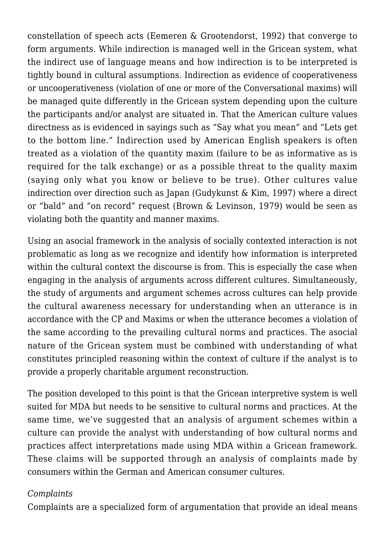constellation of speech acts (Eemeren & Grootendorst, 1992) that converge to form arguments. While indirection is managed well in the Gricean system, what the indirect use of language means and how indirection is to be interpreted is tightly bound in cultural assumptions. Indirection as evidence of cooperativeness or uncooperativeness (violation of one or more of the Conversational maxims) will be managed quite differently in the Gricean system depending upon the culture the participants and/or analyst are situated in. That the American culture values directness as is evidenced in sayings such as "Say what you mean" and "Lets get to the bottom line." Indirection used by American English speakers is often treated as a violation of the quantity maxim (failure to be as informative as is required for the talk exchange) or as a possible threat to the quality maxim (saying only what you know or believe to be true). Other cultures value indirection over direction such as Japan (Gudykunst & Kim, 1997) where a direct or "bald" and "on record" request (Brown & Levinson, 1979) would be seen as violating both the quantity and manner maxims.

Using an asocial framework in the analysis of socially contexted interaction is not problematic as long as we recognize and identify how information is interpreted within the cultural context the discourse is from. This is especially the case when engaging in the analysis of arguments across different cultures. Simultaneously, the study of arguments and argument schemes across cultures can help provide the cultural awareness necessary for understanding when an utterance is in accordance with the CP and Maxims or when the utterance becomes a violation of the same according to the prevailing cultural norms and practices. The asocial nature of the Gricean system must be combined with understanding of what constitutes principled reasoning within the context of culture if the analyst is to provide a properly charitable argument reconstruction.

The position developed to this point is that the Gricean interpretive system is well suited for MDA but needs to be sensitive to cultural norms and practices. At the same time, we've suggested that an analysis of argument schemes within a culture can provide the analyst with understanding of how cultural norms and practices affect interpretations made using MDA within a Gricean framework. These claims will be supported through an analysis of complaints made by consumers within the German and American consumer cultures.

## *Complaints*

Complaints are a specialized form of argumentation that provide an ideal means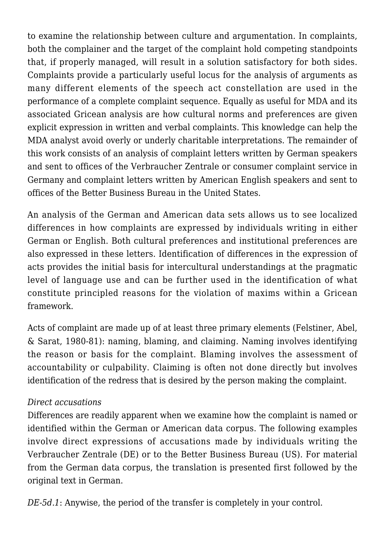to examine the relationship between culture and argumentation. In complaints, both the complainer and the target of the complaint hold competing standpoints that, if properly managed, will result in a solution satisfactory for both sides. Complaints provide a particularly useful locus for the analysis of arguments as many different elements of the speech act constellation are used in the performance of a complete complaint sequence. Equally as useful for MDA and its associated Gricean analysis are how cultural norms and preferences are given explicit expression in written and verbal complaints. This knowledge can help the MDA analyst avoid overly or underly charitable interpretations. The remainder of this work consists of an analysis of complaint letters written by German speakers and sent to offices of the Verbraucher Zentrale or consumer complaint service in Germany and complaint letters written by American English speakers and sent to offices of the Better Business Bureau in the United States.

An analysis of the German and American data sets allows us to see localized differences in how complaints are expressed by individuals writing in either German or English. Both cultural preferences and institutional preferences are also expressed in these letters. Identification of differences in the expression of acts provides the initial basis for intercultural understandings at the pragmatic level of language use and can be further used in the identification of what constitute principled reasons for the violation of maxims within a Gricean framework.

Acts of complaint are made up of at least three primary elements (Felstiner, Abel, & Sarat, 1980-81): naming, blaming, and claiming. Naming involves identifying the reason or basis for the complaint. Blaming involves the assessment of accountability or culpability. Claiming is often not done directly but involves identification of the redress that is desired by the person making the complaint.

## *Direct accusations*

Differences are readily apparent when we examine how the complaint is named or identified within the German or American data corpus. The following examples involve direct expressions of accusations made by individuals writing the Verbraucher Zentrale (DE) or to the Better Business Bureau (US). For material from the German data corpus, the translation is presented first followed by the original text in German.

*DE-5d.1*: Anywise, the period of the transfer is completely in your control.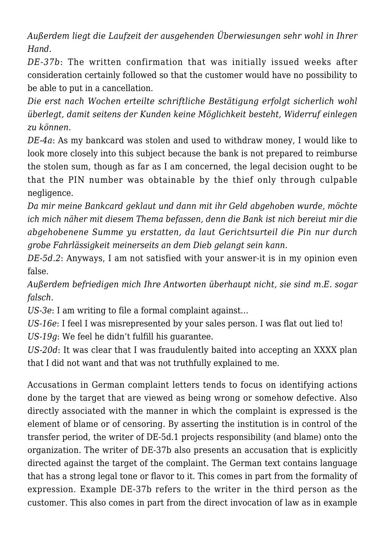*Außerdem liegt die Laufzeit der ausgehenden Überwiesungen sehr wohl in Ihrer Hand.*

*DE-37b*: The written confirmation that was initially issued weeks after consideration certainly followed so that the customer would have no possibility to be able to put in a cancellation.

*Die erst nach Wochen erteilte schriftliche Bestätigung erfolgt sicherlich wohl überlegt, damit seitens der Kunden keine Möglichkeit besteht, Widerruf einlegen zu können.*

*DE-4a*: As my bankcard was stolen and used to withdraw money, I would like to look more closely into this subject because the bank is not prepared to reimburse the stolen sum, though as far as I am concerned, the legal decision ought to be that the PIN number was obtainable by the thief only through culpable negligence.

*Da mir meine Bankcard geklaut und dann mit ihr Geld abgehoben wurde, möchte ich mich näher mit diesem Thema befassen, denn die Bank ist nich bereiut mir die abgehobenene Summe yu erstatten, da laut Gerichtsurteil die Pin nur durch grobe Fahrlässigkeit meinerseits an dem Dieb gelangt sein kann.*

*DE-5d.2*: Anyways, I am not satisfied with your answer-it is in my opinion even false.

*Außerdem befriedigen mich Ihre Antworten überhaupt nicht, sie sind m.E. sogar falsch.*

*US-3e*: I am writing to file a formal complaint against…

*US-16e*: I feel I was misrepresented by your sales person. I was flat out lied to! *US-19g*: We feel he didn't fulfill his guarantee.

*US-20d*: It was clear that I was fraudulently baited into accepting an XXXX plan that I did not want and that was not truthfully explained to me.

Accusations in German complaint letters tends to focus on identifying actions done by the target that are viewed as being wrong or somehow defective. Also directly associated with the manner in which the complaint is expressed is the element of blame or of censoring. By asserting the institution is in control of the transfer period, the writer of DE-5d.1 projects responsibility (and blame) onto the organization. The writer of DE-37b also presents an accusation that is explicitly directed against the target of the complaint. The German text contains language that has a strong legal tone or flavor to it. This comes in part from the formality of expression. Example DE-37b refers to the writer in the third person as the customer. This also comes in part from the direct invocation of law as in example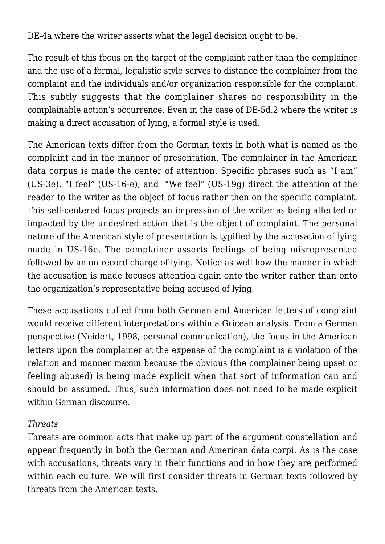DE-4a where the writer asserts what the legal decision ought to be.

The result of this focus on the target of the complaint rather than the complainer and the use of a formal, legalistic style serves to distance the complainer from the complaint and the individuals and/or organization responsible for the complaint. This subtly suggests that the complainer shares no responsibility in the complainable action's occurrence. Even in the case of DE-5d.2 where the writer is making a direct accusation of lying, a formal style is used.

The American texts differ from the German texts in both what is named as the complaint and in the manner of presentation. The complainer in the American data corpus is made the center of attention. Specific phrases such as "I am" (US-3e), "I feel" (US-16-e), and "We feel" (US-19g) direct the attention of the reader to the writer as the object of focus rather then on the specific complaint. This self-centered focus projects an impression of the writer as being affected or impacted by the undesired action that is the object of complaint. The personal nature of the American style of presentation is typified by the accusation of lying made in US-16e. The complainer asserts feelings of being misrepresented followed by an on record charge of lying. Notice as well how the manner in which the accusation is made focuses attention again onto the writer rather than onto the organization's representative being accused of lying.

These accusations culled from both German and American letters of complaint would receive different interpretations within a Gricean analysis. From a German perspective (Neidert, 1998, personal communication), the focus in the American letters upon the complainer at the expense of the complaint is a violation of the relation and manner maxim because the obvious (the complainer being upset or feeling abused) is being made explicit when that sort of information can and should be assumed. Thus, such information does not need to be made explicit within German discourse.

#### *Threats*

Threats are common acts that make up part of the argument constellation and appear frequently in both the German and American data corpi. As is the case with accusations, threats vary in their functions and in how they are performed within each culture. We will first consider threats in German texts followed by threats from the American texts.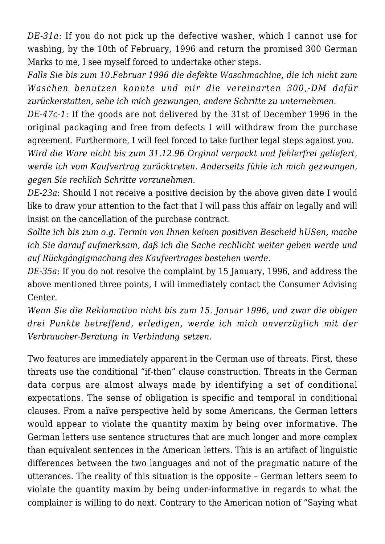*DE-31a*: If you do not pick up the defective washer, which I cannot use for washing, by the 10th of February, 1996 and return the promised 300 German Marks to me, I see myself forced to undertake other steps.

*Falls Sie bis zum 10.Februar 1996 die defekte Waschmachine, die ich nicht zum Waschen benutzen konnte und mir die vereinarten 300,-DM dafür zurückerstatten, sehe ich mich gezwungen, andere Schritte zu unternehmen.*

*DE-47c-1*: If the goods are not delivered by the 31st of December 1996 in the original packaging and free from defects I will withdraw from the purchase agreement. Furthermore, I will feel forced to take further legal steps against you.

*Wird die Ware nicht bis zum 31.12.96 Orginal verpackt und fehlerfrei geliefert, werde ich vom Kaufvertrag zurücktreten. Anderseits fühle ich mich gezwungen, gegen Sie rechlich Schritte vorzunehmen.*

*DE-23a*: Should I not receive a positive decision by the above given date I would like to draw your attention to the fact that I will pass this affair on legally and will insist on the cancellation of the purchase contract.

*Sollte ich bis zum o.g. Termin von Ihnen keinen positiven Bescheid hUSen, mache ich Sie darauf aufmerksam, daß ich die Sache rechlicht weiter geben werde und auf Rückgängigmachung des Kaufvertrages bestehen werde*.

*DE-35a*: If you do not resolve the complaint by 15 January, 1996, and address the above mentioned three points, I will immediately contact the Consumer Advising Center.

*Wenn Sie die Reklamation nicht bis zum 15. Januar 1996, und zwar die obigen drei Punkte betreffend, erledigen, werde ich mich unverzüglich mit der Verbraucher-Beratung in Verbindung setzen.*

Two features are immediately apparent in the German use of threats. First, these threats use the conditional "if-then" clause construction. Threats in the German data corpus are almost always made by identifying a set of conditional expectations. The sense of obligation is specific and temporal in conditional clauses. From a naïve perspective held by some Americans, the German letters would appear to violate the quantity maxim by being over informative. The German letters use sentence structures that are much longer and more complex than equivalent sentences in the American letters. This is an artifact of linguistic differences between the two languages and not of the pragmatic nature of the utterances. The reality of this situation is the opposite – German letters seem to violate the quantity maxim by being under-informative in regards to what the complainer is willing to do next. Contrary to the American notion of "Saying what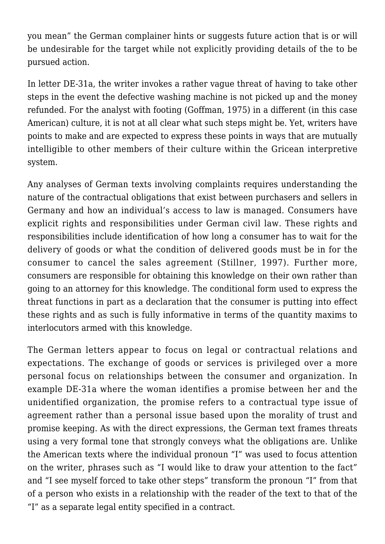you mean" the German complainer hints or suggests future action that is or will be undesirable for the target while not explicitly providing details of the to be pursued action.

In letter DE-31a, the writer invokes a rather vague threat of having to take other steps in the event the defective washing machine is not picked up and the money refunded. For the analyst with footing (Goffman, 1975) in a different (in this case American) culture, it is not at all clear what such steps might be. Yet, writers have points to make and are expected to express these points in ways that are mutually intelligible to other members of their culture within the Gricean interpretive system.

Any analyses of German texts involving complaints requires understanding the nature of the contractual obligations that exist between purchasers and sellers in Germany and how an individual's access to law is managed. Consumers have explicit rights and responsibilities under German civil law. These rights and responsibilities include identification of how long a consumer has to wait for the delivery of goods or what the condition of delivered goods must be in for the consumer to cancel the sales agreement (Stillner, 1997). Further more, consumers are responsible for obtaining this knowledge on their own rather than going to an attorney for this knowledge. The conditional form used to express the threat functions in part as a declaration that the consumer is putting into effect these rights and as such is fully informative in terms of the quantity maxims to interlocutors armed with this knowledge.

The German letters appear to focus on legal or contractual relations and expectations. The exchange of goods or services is privileged over a more personal focus on relationships between the consumer and organization. In example DE-31a where the woman identifies a promise between her and the unidentified organization, the promise refers to a contractual type issue of agreement rather than a personal issue based upon the morality of trust and promise keeping. As with the direct expressions, the German text frames threats using a very formal tone that strongly conveys what the obligations are. Unlike the American texts where the individual pronoun "I" was used to focus attention on the writer, phrases such as "I would like to draw your attention to the fact" and "I see myself forced to take other steps" transform the pronoun "I" from that of a person who exists in a relationship with the reader of the text to that of the "I" as a separate legal entity specified in a contract.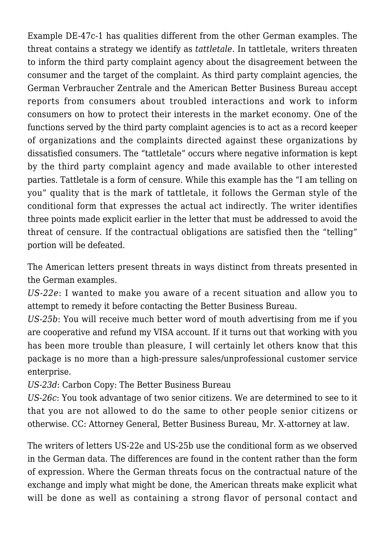Example DE-47c-1 has qualities different from the other German examples. The threat contains a strategy we identify as *tattletale*. In tattletale, writers threaten to inform the third party complaint agency about the disagreement between the consumer and the target of the complaint. As third party complaint agencies, the German Verbraucher Zentrale and the American Better Business Bureau accept reports from consumers about troubled interactions and work to inform consumers on how to protect their interests in the market economy. One of the functions served by the third party complaint agencies is to act as a record keeper of organizations and the complaints directed against these organizations by dissatisfied consumers. The "tattletale" occurs where negative information is kept by the third party complaint agency and made available to other interested parties. Tattletale is a form of censure. While this example has the "I am telling on you" quality that is the mark of tattletale, it follows the German style of the conditional form that expresses the actual act indirectly. The writer identifies three points made explicit earlier in the letter that must be addressed to avoid the threat of censure. If the contractual obligations are satisfied then the "telling" portion will be defeated.

The American letters present threats in ways distinct from threats presented in the German examples.

*US-22e*: I wanted to make you aware of a recent situation and allow you to attempt to remedy it before contacting the Better Business Bureau.

*US-25b*: You will receive much better word of mouth advertising from me if you are cooperative and refund my VISA account. If it turns out that working with you has been more trouble than pleasure, I will certainly let others know that this package is no more than a high-pressure sales/unprofessional customer service enterprise.

*US-23d*: Carbon Copy: The Better Business Bureau

*US-26c*: You took advantage of two senior citizens. We are determined to see to it that you are not allowed to do the same to other people senior citizens or otherwise. CC: Attorney General, Better Business Bureau, Mr. X-attorney at law.

The writers of letters US-22e and US-25b use the conditional form as we observed in the German data. The differences are found in the content rather than the form of expression. Where the German threats focus on the contractual nature of the exchange and imply what might be done, the American threats make explicit what will be done as well as containing a strong flavor of personal contact and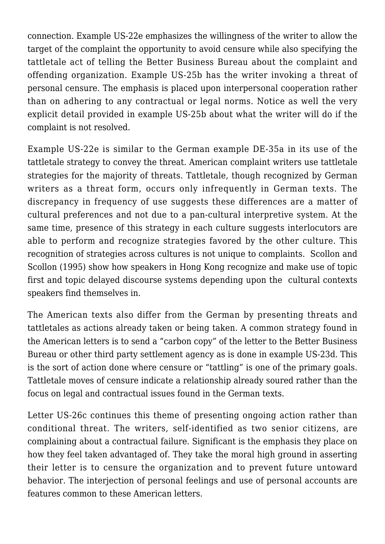connection. Example US-22e emphasizes the willingness of the writer to allow the target of the complaint the opportunity to avoid censure while also specifying the tattletale act of telling the Better Business Bureau about the complaint and offending organization. Example US-25b has the writer invoking a threat of personal censure. The emphasis is placed upon interpersonal cooperation rather than on adhering to any contractual or legal norms. Notice as well the very explicit detail provided in example US-25b about what the writer will do if the complaint is not resolved.

Example US-22e is similar to the German example DE-35a in its use of the tattletale strategy to convey the threat. American complaint writers use tattletale strategies for the majority of threats. Tattletale, though recognized by German writers as a threat form, occurs only infrequently in German texts. The discrepancy in frequency of use suggests these differences are a matter of cultural preferences and not due to a pan-cultural interpretive system. At the same time, presence of this strategy in each culture suggests interlocutors are able to perform and recognize strategies favored by the other culture. This recognition of strategies across cultures is not unique to complaints. Scollon and Scollon (1995) show how speakers in Hong Kong recognize and make use of topic first and topic delayed discourse systems depending upon the cultural contexts speakers find themselves in.

The American texts also differ from the German by presenting threats and tattletales as actions already taken or being taken. A common strategy found in the American letters is to send a "carbon copy" of the letter to the Better Business Bureau or other third party settlement agency as is done in example US-23d. This is the sort of action done where censure or "tattling" is one of the primary goals. Tattletale moves of censure indicate a relationship already soured rather than the focus on legal and contractual issues found in the German texts.

Letter US-26c continues this theme of presenting ongoing action rather than conditional threat. The writers, self-identified as two senior citizens, are complaining about a contractual failure. Significant is the emphasis they place on how they feel taken advantaged of. They take the moral high ground in asserting their letter is to censure the organization and to prevent future untoward behavior. The interjection of personal feelings and use of personal accounts are features common to these American letters.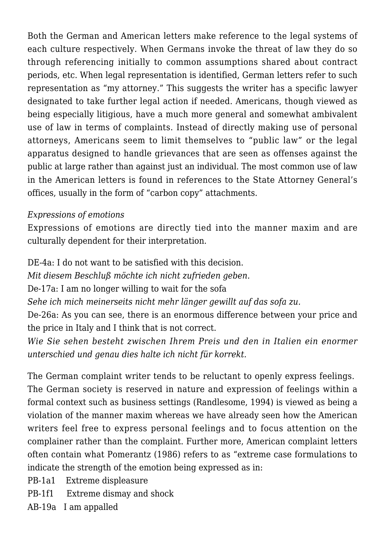Both the German and American letters make reference to the legal systems of each culture respectively. When Germans invoke the threat of law they do so through referencing initially to common assumptions shared about contract periods, etc. When legal representation is identified, German letters refer to such representation as "my attorney." This suggests the writer has a specific lawyer designated to take further legal action if needed. Americans, though viewed as being especially litigious, have a much more general and somewhat ambivalent use of law in terms of complaints. Instead of directly making use of personal attorneys, Americans seem to limit themselves to "public law" or the legal apparatus designed to handle grievances that are seen as offenses against the public at large rather than against just an individual. The most common use of law in the American letters is found in references to the State Attorney General's offices, usually in the form of "carbon copy" attachments.

#### *Expressions of emotions*

Expressions of emotions are directly tied into the manner maxim and are culturally dependent for their interpretation.

DE-4a: I do not want to be satisfied with this decision.

*Mit diesem Beschluß möchte ich nicht zufrieden geben.*

De-17a: I am no longer willing to wait for the sofa

*Sehe ich mich meinerseits nicht mehr länger gewillt auf das sofa zu.*

De-26a: As you can see, there is an enormous difference between your price and the price in Italy and I think that is not correct.

*Wie Sie sehen besteht zwischen Ihrem Preis und den in Italien ein enormer unterschied und genau dies halte ich nicht für korrekt.*

The German complaint writer tends to be reluctant to openly express feelings. The German society is reserved in nature and expression of feelings within a formal context such as business settings (Randlesome, 1994) is viewed as being a violation of the manner maxim whereas we have already seen how the American writers feel free to express personal feelings and to focus attention on the complainer rather than the complaint. Further more, American complaint letters often contain what Pomerantz (1986) refers to as "extreme case formulations to indicate the strength of the emotion being expressed as in:

PB-1a1 Extreme displeasure

PB-1f1 Extreme dismay and shock

AB-19a I am appalled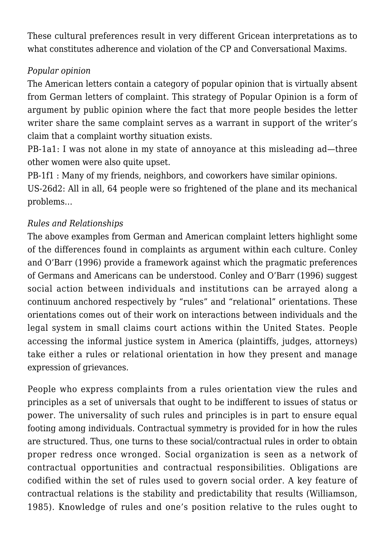These cultural preferences result in very different Gricean interpretations as to what constitutes adherence and violation of the CP and Conversational Maxims.

# *Popular opinion*

The American letters contain a category of popular opinion that is virtually absent from German letters of complaint. This strategy of Popular Opinion is a form of argument by public opinion where the fact that more people besides the letter writer share the same complaint serves as a warrant in support of the writer's claim that a complaint worthy situation exists.

PB-1a1: I was not alone in my state of annoyance at this misleading ad—three other women were also quite upset.

PB-1f1 : Many of my friends, neighbors, and coworkers have similar opinions. US-26d2: All in all, 64 people were so frightened of the plane and its mechanical problems…

# *Rules and Relationships*

The above examples from German and American complaint letters highlight some of the differences found in complaints as argument within each culture. Conley and O'Barr (1996) provide a framework against which the pragmatic preferences of Germans and Americans can be understood. Conley and O'Barr (1996) suggest social action between individuals and institutions can be arrayed along a continuum anchored respectively by "rules" and "relational" orientations. These orientations comes out of their work on interactions between individuals and the legal system in small claims court actions within the United States. People accessing the informal justice system in America (plaintiffs, judges, attorneys) take either a rules or relational orientation in how they present and manage expression of grievances.

People who express complaints from a rules orientation view the rules and principles as a set of universals that ought to be indifferent to issues of status or power. The universality of such rules and principles is in part to ensure equal footing among individuals. Contractual symmetry is provided for in how the rules are structured. Thus, one turns to these social/contractual rules in order to obtain proper redress once wronged. Social organization is seen as a network of contractual opportunities and contractual responsibilities. Obligations are codified within the set of rules used to govern social order. A key feature of contractual relations is the stability and predictability that results (Williamson, 1985). Knowledge of rules and one's position relative to the rules ought to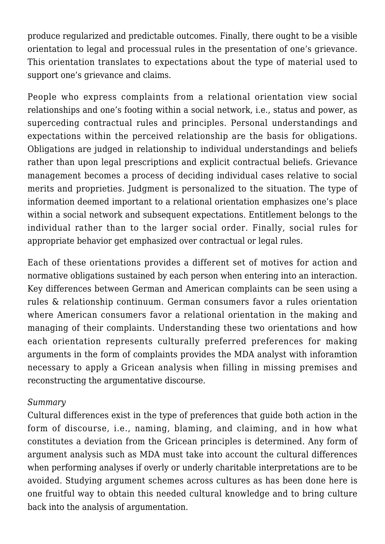produce regularized and predictable outcomes. Finally, there ought to be a visible orientation to legal and processual rules in the presentation of one's grievance. This orientation translates to expectations about the type of material used to support one's grievance and claims.

People who express complaints from a relational orientation view social relationships and one's footing within a social network, i.e., status and power, as superceding contractual rules and principles. Personal understandings and expectations within the perceived relationship are the basis for obligations. Obligations are judged in relationship to individual understandings and beliefs rather than upon legal prescriptions and explicit contractual beliefs. Grievance management becomes a process of deciding individual cases relative to social merits and proprieties. Judgment is personalized to the situation. The type of information deemed important to a relational orientation emphasizes one's place within a social network and subsequent expectations. Entitlement belongs to the individual rather than to the larger social order. Finally, social rules for appropriate behavior get emphasized over contractual or legal rules.

Each of these orientations provides a different set of motives for action and normative obligations sustained by each person when entering into an interaction. Key differences between German and American complaints can be seen using a rules & relationship continuum. German consumers favor a rules orientation where American consumers favor a relational orientation in the making and managing of their complaints. Understanding these two orientations and how each orientation represents culturally preferred preferences for making arguments in the form of complaints provides the MDA analyst with inforamtion necessary to apply a Gricean analysis when filling in missing premises and reconstructing the argumentative discourse.

#### *Summary*

Cultural differences exist in the type of preferences that guide both action in the form of discourse, i.e., naming, blaming, and claiming, and in how what constitutes a deviation from the Gricean principles is determined. Any form of argument analysis such as MDA must take into account the cultural differences when performing analyses if overly or underly charitable interpretations are to be avoided. Studying argument schemes across cultures as has been done here is one fruitful way to obtain this needed cultural knowledge and to bring culture back into the analysis of argumentation.